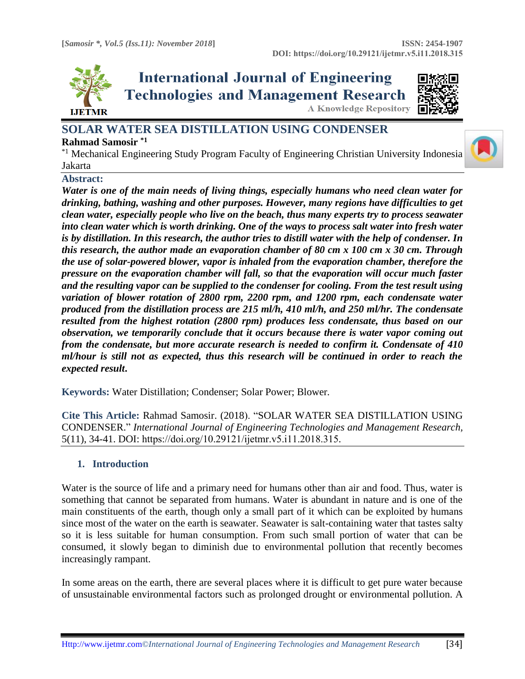

**International Journal of Engineering Technologies and Management Research A Knowledge Repository** 



# **SOLAR WATER SEA DISTILLATION USING CONDENSER**

# **Rahmad Samosir \*1**

\*1 Mechanical Engineering Study Program Faculty of Engineering Christian University Indonesia Jakarta

## **Abstract:**

*Water is one of the main needs of living things, especially humans who need clean water for drinking, bathing, washing and other purposes. However, many regions have difficulties to get clean water, especially people who live on the beach, thus many experts try to process seawater into clean water which is worth drinking. One of the ways to process salt water into fresh water is by distillation. In this research, the author tries to distill water with the help of condenser. In this research, the author made an evaporation chamber of 80 cm x 100 cm x 30 cm. Through the use of solar-powered blower, vapor is inhaled from the evaporation chamber, therefore the pressure on the evaporation chamber will fall, so that the evaporation will occur much faster and the resulting vapor can be supplied to the condenser for cooling. From the test result using variation of blower rotation of 2800 rpm, 2200 rpm, and 1200 rpm, each condensate water produced from the distillation process are 215 ml/h, 410 ml/h, and 250 ml/hr. The condensate resulted from the highest rotation (2800 rpm) produces less condensate, thus based on our observation, we temporarily conclude that it occurs because there is water vapor coming out from the condensate, but more accurate research is needed to confirm it. Condensate of 410 ml/hour is still not as expected, thus this research will be continued in order to reach the expected result***.**

**Keywords:** Water Distillation; Condenser; Solar Power; Blower*.* 

**Cite This Article:** Rahmad Samosir. (2018). "SOLAR WATER SEA DISTILLATION USING CONDENSER." *International Journal of Engineering Technologies and Management Research,*  5(11), 34-41. DOI: https://doi.org/10.29121/ijetmr.v5.i11.2018.315.

# **1. Introduction**

Water is the source of life and a primary need for humans other than air and food. Thus, water is something that cannot be separated from humans. Water is abundant in nature and is one of the main constituents of the earth, though only a small part of it which can be exploited by humans since most of the water on the earth is seawater. Seawater is salt-containing water that tastes salty so it is less suitable for human consumption. From such small portion of water that can be consumed, it slowly began to diminish due to environmental pollution that recently becomes increasingly rampant.

In some areas on the earth, there are several places where it is difficult to get pure water because of unsustainable environmental factors such as prolonged drought or environmental pollution. A

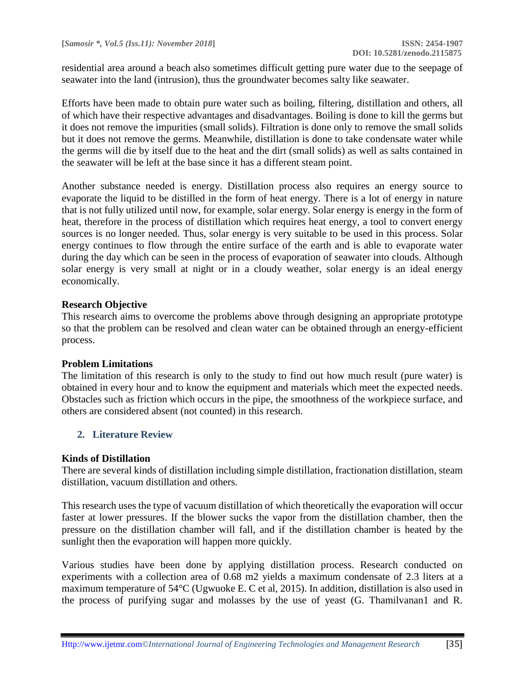residential area around a beach also sometimes difficult getting pure water due to the seepage of seawater into the land (intrusion), thus the groundwater becomes salty like seawater.

Efforts have been made to obtain pure water such as boiling, filtering, distillation and others, all of which have their respective advantages and disadvantages. Boiling is done to kill the germs but it does not remove the impurities (small solids). Filtration is done only to remove the small solids but it does not remove the germs. Meanwhile, distillation is done to take condensate water while the germs will die by itself due to the heat and the dirt (small solids) as well as salts contained in the seawater will be left at the base since it has a different steam point.

Another substance needed is energy. Distillation process also requires an energy source to evaporate the liquid to be distilled in the form of heat energy. There is a lot of energy in nature that is not fully utilized until now, for example, solar energy. Solar energy is energy in the form of heat, therefore in the process of distillation which requires heat energy, a tool to convert energy sources is no longer needed. Thus, solar energy is very suitable to be used in this process. Solar energy continues to flow through the entire surface of the earth and is able to evaporate water during the day which can be seen in the process of evaporation of seawater into clouds. Although solar energy is very small at night or in a cloudy weather, solar energy is an ideal energy economically.

## **Research Objective**

This research aims to overcome the problems above through designing an appropriate prototype so that the problem can be resolved and clean water can be obtained through an energy-efficient process.

## **Problem Limitations**

The limitation of this research is only to the study to find out how much result (pure water) is obtained in every hour and to know the equipment and materials which meet the expected needs. Obstacles such as friction which occurs in the pipe, the smoothness of the workpiece surface, and others are considered absent (not counted) in this research.

# **2. Literature Review**

## **Kinds of Distillation**

There are several kinds of distillation including simple distillation, fractionation distillation, steam distillation, vacuum distillation and others.

This research uses the type of vacuum distillation of which theoretically the evaporation will occur faster at lower pressures. If the blower sucks the vapor from the distillation chamber, then the pressure on the distillation chamber will fall, and if the distillation chamber is heated by the sunlight then the evaporation will happen more quickly.

Various studies have been done by applying distillation process. Research conducted on experiments with a collection area of 0.68 m2 yields a maximum condensate of 2.3 liters at a maximum temperature of 54°C (Ugwuoke E. C et al, 2015). In addition, distillation is also used in the process of purifying sugar and molasses by the use of yeast (G. Thamilvanan1 and R.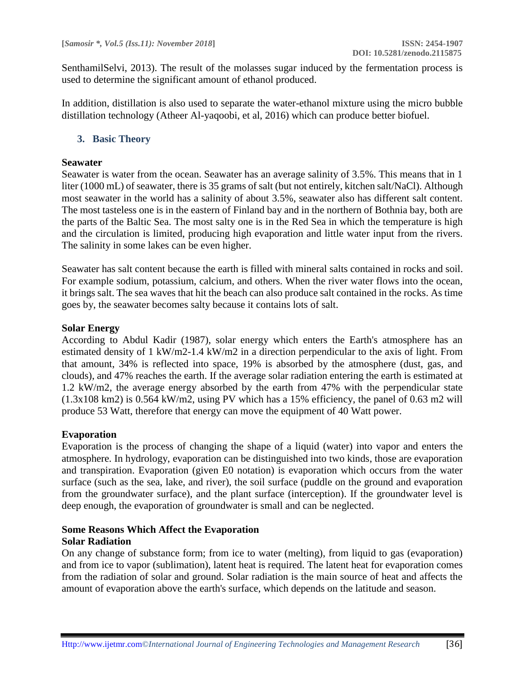SenthamilSelvi, 2013). The result of the molasses sugar induced by the fermentation process is used to determine the significant amount of ethanol produced.

In addition, distillation is also used to separate the water-ethanol mixture using the micro bubble distillation technology (Atheer Al-yaqoobi, et al, 2016) which can produce better biofuel.

## **3. Basic Theory**

#### **Seawater**

Seawater is water from the ocean. Seawater has an average salinity of 3.5%. This means that in 1 liter (1000 mL) of seawater, there is 35 grams of salt (but not entirely, kitchen salt/NaCl). Although most seawater in the world has a salinity of about 3.5%, seawater also has different salt content. The most tasteless one is in the eastern of Finland bay and in the northern of Bothnia bay, both are the parts of the Baltic Sea. The most salty one is in the Red Sea in which the temperature is high and the circulation is limited, producing high evaporation and little water input from the rivers. The salinity in some lakes can be even higher.

Seawater has salt content because the earth is filled with mineral salts contained in rocks and soil. For example sodium, potassium, calcium, and others. When the river water flows into the ocean, it brings salt. The sea waves that hit the beach can also produce salt contained in the rocks. As time goes by, the seawater becomes salty because it contains lots of salt.

## **Solar Energy**

According to Abdul Kadir (1987), solar energy which enters the Earth's atmosphere has an estimated density of 1 kW/m2-1.4 kW/m2 in a direction perpendicular to the axis of light. From that amount, 34% is reflected into space, 19% is absorbed by the atmosphere (dust, gas, and clouds), and 47% reaches the earth. If the average solar radiation entering the earth is estimated at 1.2 kW/m2, the average energy absorbed by the earth from 47% with the perpendicular state (1.3x108 km2) is 0.564 kW/m2, using PV which has a 15% efficiency, the panel of 0.63 m2 will produce 53 Watt, therefore that energy can move the equipment of 40 Watt power.

## **Evaporation**

Evaporation is the process of changing the shape of a liquid (water) into vapor and enters the atmosphere. In hydrology, evaporation can be distinguished into two kinds, those are evaporation and transpiration. Evaporation (given E0 notation) is evaporation which occurs from the water surface (such as the sea, lake, and river), the soil surface (puddle on the ground and evaporation from the groundwater surface), and the plant surface (interception). If the groundwater level is deep enough, the evaporation of groundwater is small and can be neglected.

## **Some Reasons Which Affect the Evaporation Solar Radiation**

On any change of substance form; from ice to water (melting), from liquid to gas (evaporation) and from ice to vapor (sublimation), latent heat is required. The latent heat for evaporation comes from the radiation of solar and ground. Solar radiation is the main source of heat and affects the amount of evaporation above the earth's surface, which depends on the latitude and season.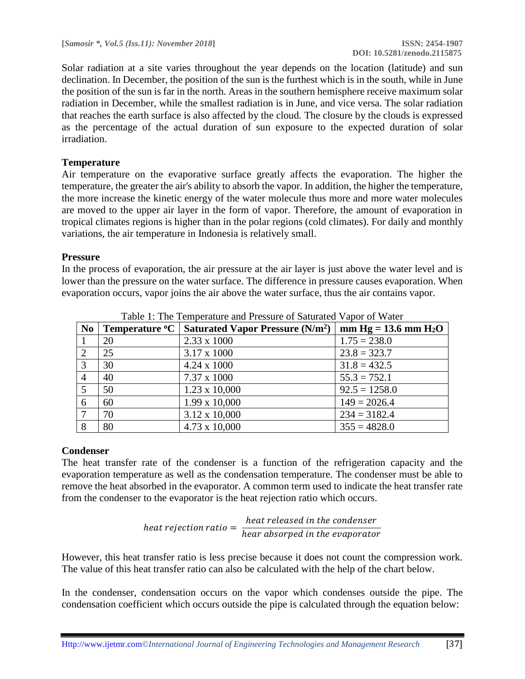Solar radiation at a site varies throughout the year depends on the location (latitude) and sun declination. In December, the position of the sun is the furthest which is in the south, while in June the position of the sun is far in the north. Areas in the southern hemisphere receive maximum solar radiation in December, while the smallest radiation is in June, and vice versa. The solar radiation that reaches the earth surface is also affected by the cloud. The closure by the clouds is expressed as the percentage of the actual duration of sun exposure to the expected duration of solar irradiation.

# **Temperature**

Air temperature on the evaporative surface greatly affects the evaporation. The higher the temperature, the greater the air's ability to absorb the vapor. In addition, the higher the temperature, the more increase the kinetic energy of the water molecule thus more and more water molecules are moved to the upper air layer in the form of vapor. Therefore, the amount of evaporation in tropical climates regions is higher than in the polar regions (cold climates). For daily and monthly variations, the air temperature in Indonesia is relatively small.

## **Pressure**

In the process of evaporation, the air pressure at the air layer is just above the water level and is lower than the pressure on the water surface. The difference in pressure causes evaporation. When evaporation occurs, vapor joins the air above the water surface, thus the air contains vapor.

|                | Table 1. The Temperature and Fressure of Baturated Vapor of Water |                                                   |                                    |  |  |  |  |
|----------------|-------------------------------------------------------------------|---------------------------------------------------|------------------------------------|--|--|--|--|
| N <sub>0</sub> | Temperature <sup>o</sup> C                                        | <b>Saturated Vapor Pressure (N/m<sup>2</sup>)</b> | $mm$ Hg = 13.6 mm H <sub>2</sub> O |  |  |  |  |
|                | 20                                                                | $2.33 \times 1000$                                | $1.75 = 238.0$                     |  |  |  |  |
| 2              | 25                                                                | 3.17 x 1000                                       | $23.8 = 323.7$                     |  |  |  |  |
| 3              | 30                                                                | $4.24 \times 1000$                                | $31.8 = 432.5$                     |  |  |  |  |
| $\overline{4}$ | 40                                                                | 7.37 x 1000                                       | $55.3 = 752.1$                     |  |  |  |  |
| -5             | 50                                                                | $1.23 \times 10,000$                              | $92.5 = 1258.0$                    |  |  |  |  |
| 6              | 60                                                                | $1.99 \times 10,000$                              | $149 = 2026.4$                     |  |  |  |  |
| -7             | 70                                                                | 3.12 x 10,000                                     | $234 = 3182.4$                     |  |  |  |  |
| 8              | 80                                                                | 4.73 x 10,000                                     | $355 = 4828.0$                     |  |  |  |  |

Table 1: The Temperature and Pressure of Saturated Vapor of Water

# **Condenser**

The heat transfer rate of the condenser is a function of the refrigeration capacity and the evaporation temperature as well as the condensation temperature. The condenser must be able to remove the heat absorbed in the evaporator. A common term used to indicate the heat transfer rate from the condenser to the evaporator is the heat rejection ratio which occurs.

heat rejection ratio = 
$$
\frac{heat \text{ released in the condenser}}{hear \text{ absorbed in the evaporator}}
$$

However, this heat transfer ratio is less precise because it does not count the compression work. The value of this heat transfer ratio can also be calculated with the help of the chart below.

In the condenser, condensation occurs on the vapor which condenses outside the pipe. The condensation coefficient which occurs outside the pipe is calculated through the equation below: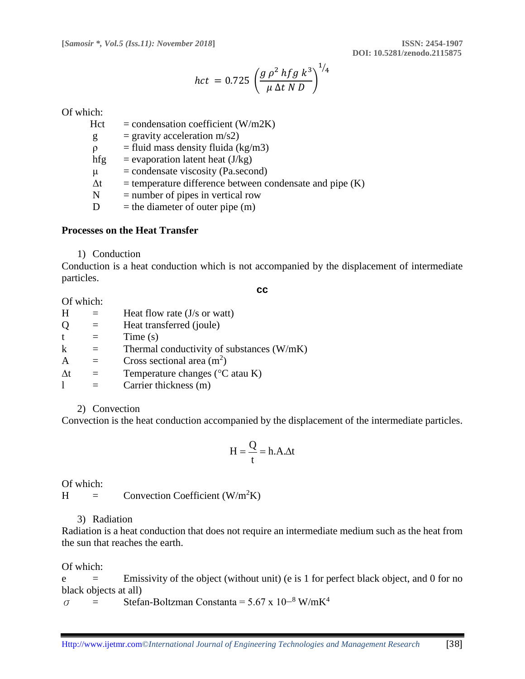$$
hct = 0.725 \left( \frac{g \rho^2 hfg k^3}{\mu \Delta t N D} \right)^{1/4}
$$

Of which:

 $Hct = condensation coefficient (W/m2K)$ 

 $g =$  gravity acceleration m/s2)

 $\rho$  = fluid mass density fluida (kg/m3)

hfg = evaporation latent heat  $(J/kg)$ 

 $\mu$  = condensate viscosity (Pa.second)

 $\Delta t$  = temperature difference between condensate and pipe (K)

 $N =$  number of pipes in vertical row

 $D =$  the diameter of outer pipe  $(m)$ 

#### **Processes on the Heat Transfer**

1) Conduction

Conduction is a heat conduction which is not accompanied by the displacement of intermediate particles.

**cc**

Of which:

| H          | Heat flow rate $(J/s \text{ or } w$ att)  |
|------------|-------------------------------------------|
| Q          | Heat transferred (joule)                  |
| t          | Time(s)                                   |
| k          | Thermal conductivity of substances (W/mK) |
| A          | Cross sectional area $(m2)$               |
| $\Delta t$ | Temperature changes ( $\rm{°C}$ atau K)   |
|            | Carrier thickness (m)                     |

2) Convection

Convection is the heat conduction accompanied by the displacement of the intermediate particles.

$$
H = \frac{Q}{t} = h.A. \Delta t
$$

Of which:

 $H =$  Convection Coefficient (W/m<sup>2</sup>K)

## 3) Radiation

Radiation is a heat conduction that does not require an intermediate medium such as the heat from the sun that reaches the earth.

Of which:

 $e$  = Emissivity of the object (without unit) (e is 1 for perfect black object, and 0 for no black objects at all)

 $\sigma$  = Stefan-Boltzman Constanta = 5.67 x 10<sup>-8</sup> W/mK<sup>4</sup>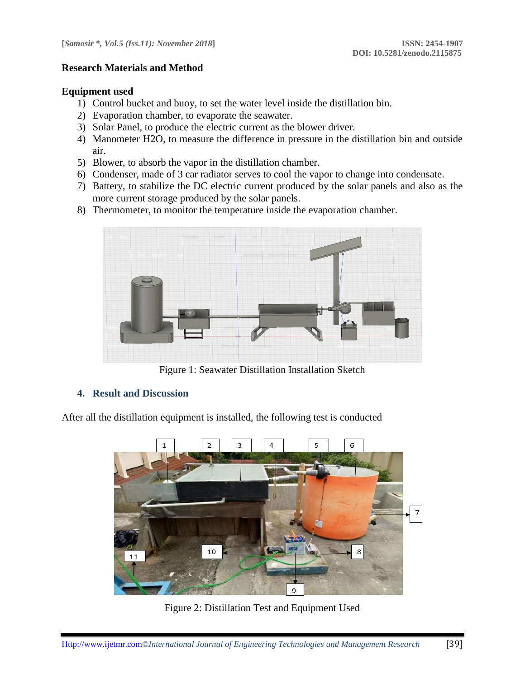## **Research Materials and Method**

## **Equipment used**

- 1) Control bucket and buoy, to set the water level inside the distillation bin.
- 2) Evaporation chamber, to evaporate the seawater.
- 3) Solar Panel, to produce the electric current as the blower driver.
- 4) Manometer H2O, to measure the difference in pressure in the distillation bin and outside air.
- 5) Blower, to absorb the vapor in the distillation chamber.
- 6) Condenser, made of 3 car radiator serves to cool the vapor to change into condensate.
- 7) Battery, to stabilize the DC electric current produced by the solar panels and also as the more current storage produced by the solar panels.
- 8) Thermometer, to monitor the temperature inside the evaporation chamber.



Figure 1: Seawater Distillation Installation Sketch

## **4. Result and Discussion**

After all the distillation equipment is installed, the following test is conducted



Figure 2: Distillation Test and Equipment Used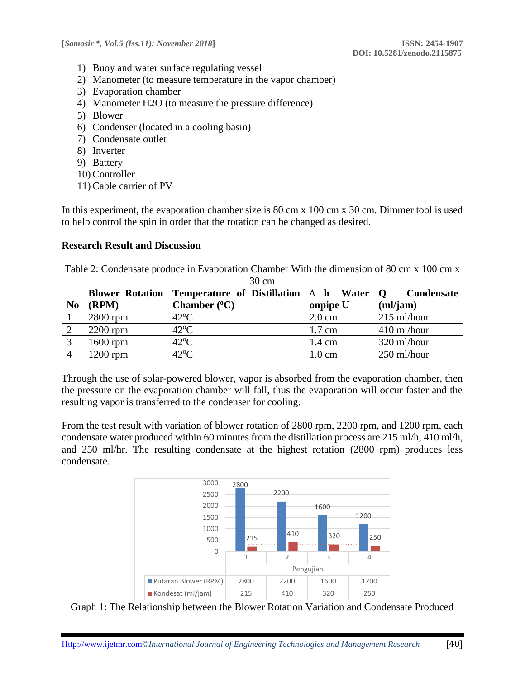- 1) Buoy and water surface regulating vessel
- 2) Manometer (to measure temperature in the vapor chamber)
- 3) Evaporation chamber
- 4) Manometer H2O (to measure the pressure difference)
- 5) Blower
- 6) Condenser (located in a cooling basin)
- 7) Condensate outlet
- 8) Inverter
- 9) Battery
- 10) Controller
- 11)Cable carrier of PV

In this experiment, the evaporation chamber size is 80 cm x 100 cm x 30 cm. Dimmer tool is used to help control the spin in order that the rotation can be changed as desired.

## **Research Result and Discussion**

Table 2: Condensate produce in Evaporation Chamber With the dimension of 80 cm x 100 cm x 30 cm

|                |            | Blower Rotation   Temperature of Distillation $ \Delta h $ Water |                  | <b>Condensate</b><br>$\Omega$ |
|----------------|------------|------------------------------------------------------------------|------------------|-------------------------------|
| N <sub>0</sub> | (RPM)      | Chamber $(°C)$                                                   | onpipe U         | (ml/jam)                      |
|                | $2800$ rpm | $42^{\circ}$ C                                                   | $2.0 \text{ cm}$ | $215$ ml/hour                 |
| 2              | $2200$ rpm | $42^{\circ}$ C                                                   | $1.7 \text{ cm}$ | 410 ml/hour                   |
|                | $1600$ rpm | $42^{\circ}$ C                                                   | $1.4 \text{ cm}$ | 320 ml/hour                   |
| $\overline{A}$ | 1200 rpm   | $42^{\circ}C$                                                    | $1.0 \text{ cm}$ | 250 ml/hour                   |

Through the use of solar-powered blower, vapor is absorbed from the evaporation chamber, then the pressure on the evaporation chamber will fall, thus the evaporation will occur faster and the resulting vapor is transferred to the condenser for cooling.

From the test result with variation of blower rotation of 2800 rpm, 2200 rpm, and 1200 rpm, each condensate water produced within 60 minutes from the distillation process are 215 ml/h, 410 ml/h, and 250 ml/hr. The resulting condensate at the highest rotation (2800 rpm) produces less condensate.



Graph 1: The Relationship between the Blower Rotation Variation and Condensate Produced